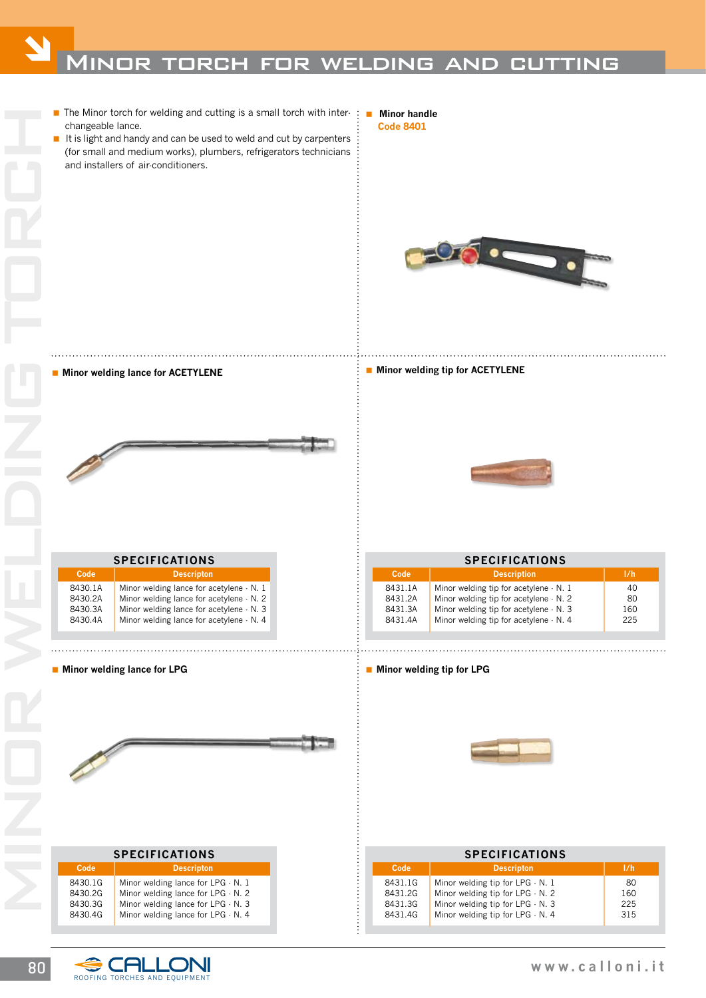

## **Minor welding lance for LPG Minor welding that contains the set of the set of the set of the set of the set of the set of the set of the set of the set of the set of the set of the set of the set of the set of the set o**

| Minor welding tip for LPG |  |
|---------------------------|--|
|---------------------------|--|



| <b>SPECIFICATIONS</b>                    |                                                                                                                                                     |                         |
|------------------------------------------|-----------------------------------------------------------------------------------------------------------------------------------------------------|-------------------------|
| Code                                     | <b>Descripton</b>                                                                                                                                   | 1/h                     |
| 8431.1G<br>8431.2G<br>8431.3G<br>8431.4G | Minor welding tip for $LPG \cdot N$ . 1<br>Minor welding tip for LPG - N. 2<br>Minor welding tip for LPG - N. 3<br>Minor welding tip for LPG - N. 4 | 80<br>160<br>225<br>315 |

| <b>SPECIFICATIONS</b>                    |                                                                                                                                                                                  |  |  |
|------------------------------------------|----------------------------------------------------------------------------------------------------------------------------------------------------------------------------------|--|--|
| Code                                     | <b>Descripton</b>                                                                                                                                                                |  |  |
| 8430.1G<br>8430.2G<br>8430.3G<br>8430.4G | Minor welding lance for $LPG \cdot N$ . 1<br>Minor welding lance for $LPG \cdot N$ . 2<br>Minor welding lance for $LPG \cdot N$ . 3<br>Minor welding lance for $LPG \cdot N$ . 4 |  |  |